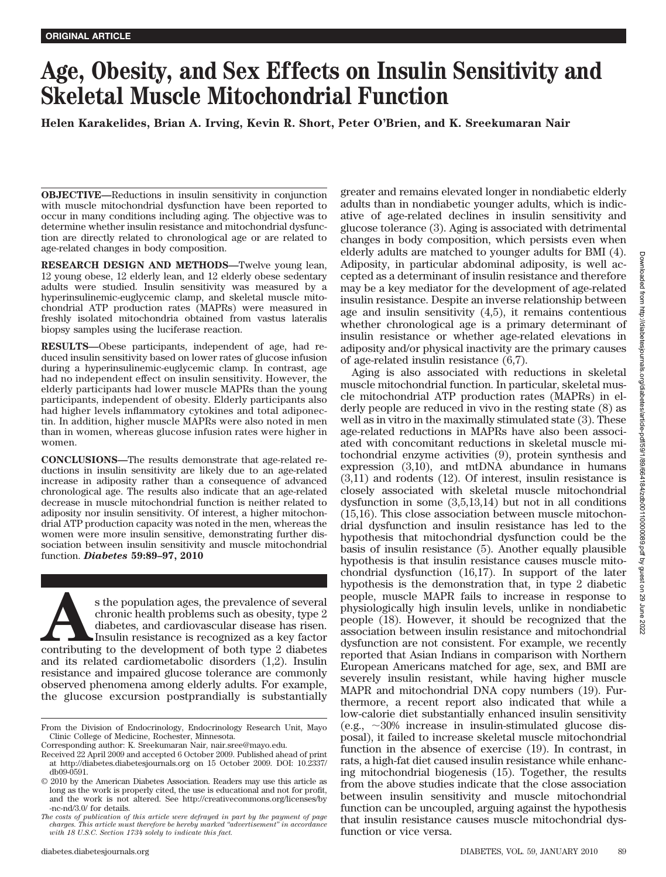# **Age, Obesity, and Sex Effects on Insulin Sensitivity and Skeletal Muscle Mitochondrial Function**

**Helen Karakelides, Brian A. Irving, Kevin R. Short, Peter O'Brien, and K. Sreekumaran Nair**

**OBJECTIVE—**Reductions in insulin sensitivity in conjunction with muscle mitochondrial dysfunction have been reported to occur in many conditions including aging. The objective was to determine whether insulin resistance and mitochondrial dysfunction are directly related to chronological age or are related to age-related changes in body composition.

**RESEARCH DESIGN AND METHODS—**Twelve young lean, 12 young obese, 12 elderly lean, and 12 elderly obese sedentary adults were studied. Insulin sensitivity was measured by a hyperinsulinemic-euglycemic clamp, and skeletal muscle mitochondrial ATP production rates (MAPRs) were measured in freshly isolated mitochondria obtained from vastus lateralis biopsy samples using the luciferase reaction.

**RESULTS—**Obese participants, independent of age, had reduced insulin sensitivity based on lower rates of glucose infusion during a hyperinsulinemic-euglycemic clamp. In contrast, age had no independent effect on insulin sensitivity. However, the elderly participants had lower muscle MAPRs than the young participants, independent of obesity. Elderly participants also had higher levels inflammatory cytokines and total adiponectin. In addition, higher muscle MAPRs were also noted in men than in women, whereas glucose infusion rates were higher in women.

**CONCLUSIONS—**The results demonstrate that age-related reductions in insulin sensitivity are likely due to an age-related increase in adiposity rather than a consequence of advanced chronological age. The results also indicate that an age-related decrease in muscle mitochondrial function is neither related to adiposity nor insulin sensitivity. Of interest, a higher mitochondrial ATP production capacity was noted in the men, whereas the women were more insulin sensitive, demonstrating further dissociation between insulin sensitivity and muscle mitochondrial function. *Diabetes* **59:89–97, 2010**

**A**s the population ages, the prevalence of several chronic health problems such as obesity, type 2 diabetes, and cardiovascular disease has risen. Insulin resistance is recognized as a key factor contributing to the development of both type 2 diabetes and its related cardiometabolic disorders (1,2). Insulin resistance and impaired glucose tolerance are commonly observed phenomena among elderly adults. For example, the glucose excursion postprandially is substantially

greater and remains elevated longer in nondiabetic elderly adults than in nondiabetic younger adults, which is indicative of age-related declines in insulin sensitivity and glucose tolerance (3). Aging is associated with detrimental changes in body composition, which persists even when elderly adults are matched to younger adults for BMI (4). Adiposity, in particular abdominal adiposity, is well accepted as a determinant of insulin resistance and therefore may be a key mediator for the development of age-related insulin resistance. Despite an inverse relationship between age and insulin sensitivity (4,5), it remains contentious whether chronological age is a primary determinant of insulin resistance or whether age-related elevations in adiposity and/or physical inactivity are the primary causes of age-related insulin resistance (6,7).

Aging is also associated with reductions in skeletal muscle mitochondrial function. In particular, skeletal muscle mitochondrial ATP production rates (MAPRs) in elderly people are reduced in vivo in the resting state (8) as well as in vitro in the maximally stimulated state (3). These age-related reductions in MAPRs have also been associated with concomitant reductions in skeletal muscle mitochondrial enzyme activities (9), protein synthesis and expression (3,10), and mtDNA abundance in humans (3,11) and rodents (12). Of interest, insulin resistance is closely associated with skeletal muscle mitochondrial dysfunction in some (3,5,13,14) but not in all conditions (15,16). This close association between muscle mitochondrial dysfunction and insulin resistance has led to the hypothesis that mitochondrial dysfunction could be the basis of insulin resistance (5). Another equally plausible hypothesis is that insulin resistance causes muscle mitochondrial dysfunction (16,17). In support of the later hypothesis is the demonstration that, in type 2 diabetic people, muscle MAPR fails to increase in response to physiologically high insulin levels, unlike in nondiabetic people (18). However, it should be recognized that the association between insulin resistance and mitochondrial dysfunction are not consistent. For example, we recently reported that Asian Indians in comparison with Northern European Americans matched for age, sex, and BMI are severely insulin resistant, while having higher muscle MAPR and mitochondrial DNA copy numbers (19). Furthermore, a recent report also indicated that while a low-calorie diet substantially enhanced insulin sensitivity (e.g.,  $\sim$ 30% increase in insulin-stimulated glucose disposal), it failed to increase skeletal muscle mitochondrial function in the absence of exercise (19). In contrast, in rats, a high-fat diet caused insulin resistance while enhancing mitochondrial biogenesis (15). Together, the results from the above studies indicate that the close association between insulin sensitivity and muscle mitochondrial function can be uncoupled, arguing against the hypothesis that insulin resistance causes muscle mitochondrial dysfunction or vice versa.

From the Division of Endocrinology, Endocrinology Research Unit, Mayo Clinic College of Medicine, Rochester, Minnesota.

Corresponding author: K. Sreekumaran Nair, nair.sree@mayo.edu.

Received 22 April 2009 and accepted 6 October 2009. Published ahead of print at http://diabetes.diabetesjournals.org on 15 October 2009. DOI: 10.2337/ db09-0591.

<sup>© 2010</sup> by the American Diabetes Association. Readers may use this article as long as the work is properly cited, the use is educational and not for profit, and the work is not altered. See http://creativecommons.org/licenses/by -nc-nd/3.0/ for details.

*The costs of publication of this article were defrayed in part by the payment of page charges. This article must therefore be hereby marked "advertisement" in accordance with 18 U.S.C. Section 1734 solely to indicate this fact.*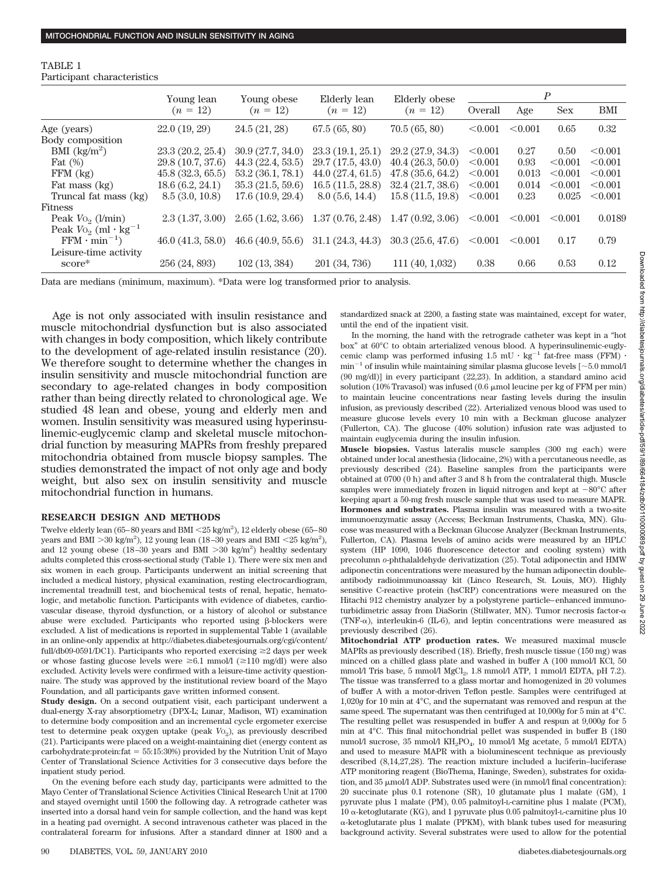| TABLE 1 |                             |
|---------|-----------------------------|
|         | Participant characteristics |

| $(n = 12)$        | $(n = 12)$       | $(n = 12)$       | $(n = 12)$                       | Overall       | Age     | <b>Sex</b> | BMI              |
|-------------------|------------------|------------------|----------------------------------|---------------|---------|------------|------------------|
| 22.0(19, 29)      | 24.5(21, 28)     | 67.5(65, 80)     | 70.5(65, 80)                     | < 0.001       | < 0.001 | 0.65       | 0.32             |
|                   |                  |                  |                                  |               |         |            |                  |
| 23.3(20.2, 25.4)  | 30.9(27.7, 34.0) | 23.3(19.1, 25.1) | 29.2(27.9, 34.3)                 | < 0.001       | 0.27    | 0.50       | < 0.001          |
| 29.8 (10.7, 37.6) | 44.3(22.4, 53.5) | 29.7(17.5, 43.0) | 40.4(26.3, 50.0)                 | < 0.001       | 0.93    | < 0.001    | < 0.001          |
| 45.8(32.3, 65.5)  | 53.2(36.1, 78.1) | 44.0(27.4, 61.5) | 47.8(35.6, 64.2)                 | < 0.001       | 0.013   | < 0.001    | < 0.001          |
| 18.6(6.2, 24.1)   | 35.3(21.5, 59.6) | 16.5(11.5, 28.8) | 32.4(21.7, 38.6)                 | < 0.001       | 0.014   | < 0.001    | < 0.001          |
| 8.5(3.0, 10.8)    | 17.6(10.9, 29.4) | 8.0(5.6, 14.4)   | 15.8(11.5, 19.8)                 | < 0.001       | 0.23    | 0.025      | < 0.001          |
|                   |                  |                  |                                  |               |         |            |                  |
| 2.3(1.37, 3.00)   | 2.65(1.62, 3.66) | 1.37(0.76, 2.48) | 1.47(0.92, 3.06)                 | < 0.001       | < 0.001 | < 0.001    | 0.0189           |
|                   |                  |                  |                                  |               |         |            |                  |
| 46.0 (41.3, 58.0) | 46.6(40.9, 55.6) |                  | 30.3(25.6, 47.6)                 | < 0.001       | < 0.001 | 0.17       | 0.79             |
|                   |                  |                  |                                  |               |         |            |                  |
| 256 (24, 893)     | 102(13, 384)     | 201 (34, 736)    | 111(40, 1,032)                   | 0.38          | 0.66    | 0.53       | 0.12             |
|                   | Young lean       | Young obese      | Elderly lean<br>31.1(24.3, 44.3) | Elderly obese |         |            | $\boldsymbol{P}$ |

Data are medians (minimum, maximum). \*Data were log transformed prior to analysis.

Age is not only associated with insulin resistance and muscle mitochondrial dysfunction but is also associated with changes in body composition, which likely contribute to the development of age-related insulin resistance (20). We therefore sought to determine whether the changes in insulin sensitivity and muscle mitochondrial function are secondary to age-related changes in body composition rather than being directly related to chronological age. We studied 48 lean and obese, young and elderly men and women. Insulin sensitivity was measured using hyperinsulinemic-euglycemic clamp and skeletal muscle mitochondrial function by measuring MAPRs from freshly prepared mitochondria obtained from muscle biopsy samples. The studies demonstrated the impact of not only age and body weight, but also sex on insulin sensitivity and muscle mitochondrial function in humans.

#### **RESEARCH DESIGN AND METHODS**

Twelve elderly lean (65–80 years and BMI  $\leq$  25 kg/m<sup>2</sup>), 12 elderly obese (65–80 years and BMI > 30 kg/m<sup>2</sup>), 12 young lean (18-30 years and BMI < 25 kg/m<sup>2</sup>), and 12 young obese (18-30 years and BMI  $>$ 30 kg/m<sup>2</sup>) healthy sedentary adults completed this cross-sectional study (Table 1). There were six men and six women in each group. Participants underwent an initial screening that included a medical history, physical examination, resting electrocardiogram, incremental treadmill test, and biochemical tests of renal, hepatic, hematologic, and metabolic function. Participants with evidence of diabetes, cardiovascular disease, thyroid dysfunction, or a history of alcohol or substance abuse were excluded. Participants who reported using  $\beta$ -blockers were excluded. A list of medications is reported in supplemental Table 1 (available in an online-only appendix at http://diabetes.diabetesjournals.org/cgi/content/ full/db09-0591/DC1). Participants who reported exercising  $\geq 2$  days per week or whose fasting glucose levels were  $\geq 6.1$  mmol/l ( $\geq 110$  mg/dl) were also excluded. Activity levels were confirmed with a leisure-time activity questionnaire. The study was approved by the institutional review board of the Mayo Foundation, and all participants gave written informed consent.

**Study design.** On a second outpatient visit, each participant underwent a dual-energy X-ray absorptiometry (DPX-L; Lunar, Madison, WI) examination to determine body composition and an incremental cycle ergometer exercise test to determine peak oxygen uptake (peak  $V_{{}^{O_2}}$ ), as previously described (21). Participants were placed on a weight-maintaining diet (energy content as carbohydrate:protein: $fat = 55:15:30%$  provided by the Nutrition Unit of Mayo Center of Translational Science Activities for 3 consecutive days before the inpatient study period.

On the evening before each study day, participants were admitted to the Mayo Center of Translational Science Activities Clinical Research Unit at 1700 and stayed overnight until 1500 the following day. A retrograde catheter was inserted into a dorsal hand vein for sample collection, and the hand was kept in a heating pad overnight. A second intravenous catheter was placed in the contralateral forearm for infusions. After a standard dinner at 1800 and a standardized snack at 2200, a fasting state was maintained, except for water, until the end of the inpatient visit. In the morning, the hand with the retrograde catheter was kept in a "hot

box" at 60°C to obtain arterialized venous blood. A hyperinsulinemic-euglycemic clamp was performed infusing 1.5 mU  $\cdot$  kg<sup>-1</sup> fat-free mass (FFM)  $\cdot$  $min^{-1}$  of insulin while maintaining similar plasma glucose levels [ $\sim$ 5.0 mmol/l (90 mg/dl)] in every participant (22,23). In addition, a standard amino acid solution (10% Travasol) was infused (0.6  $\mu$ mol leucine per kg of FFM per min) to maintain leucine concentrations near fasting levels during the insulin infusion, as previously described (22). Arterialized venous blood was used to measure glucose levels every 10 min with a Beckman glucose analyzer (Fullerton, CA). The glucose (40% solution) infusion rate was adjusted to maintain euglycemia during the insulin infusion.

**Muscle biopsies.** Vastus lateralis muscle samples (300 mg each) were obtained under local anesthesia (lidocaine, 2%) with a percutaneous needle, as previously described (24). Baseline samples from the participants were obtained at 0700 (0 h) and after 3 and 8 h from the contralateral thigh. Muscle samples were immediately frozen in liquid nitrogen and kept at  $-80^{\circ}$ C after keeping apart a 50-mg fresh muscle sample that was used to measure MAPR. **Hormones and substrates.** Plasma insulin was measured with a two-site immunoenzymatic assay (Access; Beckman Instruments, Chaska, MN). Glucose was measured with a Beckman Glucose Analyzer (Beckman Instruments, Fullerton, CA). Plasma levels of amino acids were measured by an HPLC system (HP 1090, 1046 fluorescence detector and cooling system) with precolumn *o*-phthalaldehyde derivatization (25). Total adiponectin and HMW adiponectin concentrations were measured by the human adiponectin doubleantibody radioimmunoassay kit (Linco Research, St. Louis, MO). Highly sensitive C-reactive protein (hsCRP) concentrations were measured on the Hitachi 912 chemistry analyzer by a polystyrene particle– enhanced immunoturbidimetric assay from DiaSorin (Stillwater, MN). Tumor necrosis factor- $\alpha$ (TNF- $\alpha$ ), interleukin-6 (IL-6), and leptin concentrations were measured as previously described (26).

**Mitochondrial ATP production rates.** We measured maximal muscle MAPRs as previously described (18). Briefly, fresh muscle tissue (150 mg) was minced on a chilled glass plate and washed in buffer A (100 mmol/l KCl, 50 mmol/l Tris base, 5 mmol/l  $MgCl<sub>2</sub>$ , 1.8 mmol/l ATP, 1 mmol/l EDTA, pH 7.2). The tissue was transferred to a glass mortar and homogenized in 20 volumes of buffer A with a motor-driven Teflon pestle. Samples were centrifuged at 1,020*g* for 10 min at 4°C, and the supernatant was removed and respun at the same speed. The supernatant was then centrifuged at 10,000*g* for 5 min at 4°C. The resulting pellet was resuspended in buffer A and respun at 9,000*g* for 5 min at 4°C. This final mitochondrial pellet was suspended in buffer B (180 mmol/l sucrose, 35 mmol/l KH<sub>2</sub>PO<sub>4</sub>, 10 mmol/l Mg acetate, 5 mmol/l EDTA) and used to measure MAPR with a bioluminescent technique as previously described (8,14,27,28). The reaction mixture included a luciferin–luciferase ATP monitoring reagent (BioThema, Haninge, Sweden), substrates for oxidation, and  $35 \mu \text{mol}/\text{ADP}$ . Substrates used were (in mmol/l final concentration): 20 succinate plus 0.1 rotenone (SR), 10 glutamate plus 1 malate (GM), 1 pyruvate plus 1 malate (PM), 0.05 palmitoyl-L-carnitine plus 1 malate (PCM),  $10 \alpha$ -ketoglutarate (KG), and 1 pyruvate plus 0.05 palmitoyl-L-carnitine plus 10  $\alpha$ -ketoglutarate plus 1 malate (PPKM), with blank tubes used for measuring background activity. Several substrates were used to allow for the potential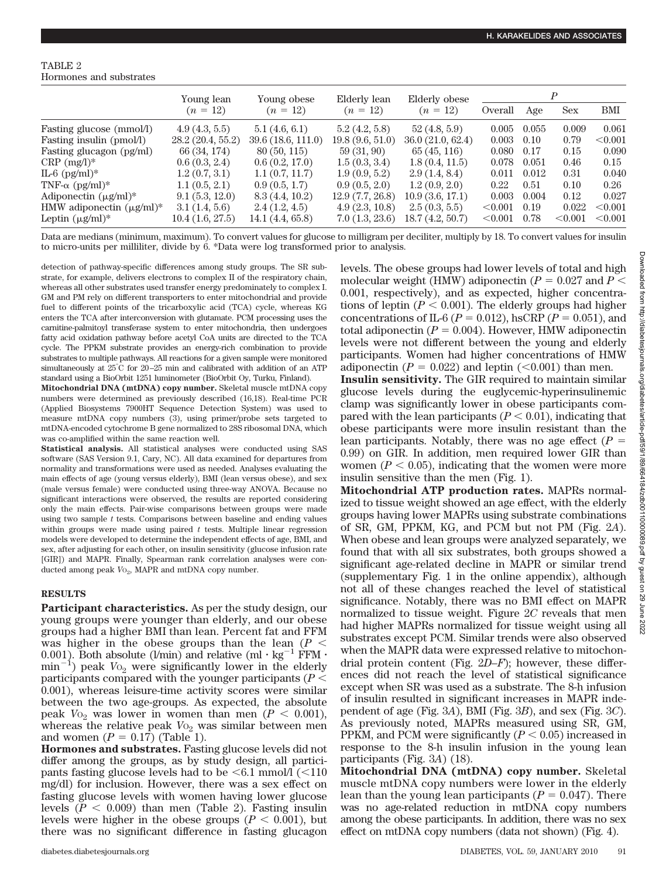TABLE 2 Hormones and substrates

|                                    | Young lean       | Young obese       | Elderly lean    | Elderly obese    |         |       |            |         |
|------------------------------------|------------------|-------------------|-----------------|------------------|---------|-------|------------|---------|
|                                    | $(n = 12)$       | $(n = 12)$        | $(n = 12)$      | $(n = 12)$       | Overall | Age   | <b>Sex</b> | BMI     |
| Fasting glucose (mmol/l)           | 4.9(4.3, 5.5)    | 5.1(4.6, 6.1)     | 5.2(4.2, 5.8)   | 52(4.8, 5.9)     | 0.005   | 0.055 | 0.009      | 0.061   |
| Fasting insulin (pmol/l)           | 28.2(20.4, 55.2) | 39.6(18.6, 111.0) | 19.8(9.6, 51.0) | 36.0(21.0, 62.4) | 0.003   | 0.10  | 0.79       | < 0.001 |
| Fasting glucagon (pg/ml)           | 66 (34, 174)     | 80 (50, 115)      | 59 (31, 90)     | 65(45, 116)      | 0.080   | 0.17  | 0.15       | 0.090   |
| $CRP (mg/l)^*$                     | 0.6(0.3, 2.4)    | 0.6(0.2, 17.0)    | 1.5(0.3, 3.4)   | 1.8(0.4, 11.5)   | 0.078   | 0.051 | 0.46       | 0.15    |
| IL-6 $(pg/ml)^*$                   | 1.2(0.7, 3.1)    | 1.1(0.7, 11.7)    | 1.9(0.9, 5.2)   | 2.9(1.4, 8.4)    | 0.011   | 0.012 | 0.31       | 0.040   |
| TNF- $\alpha$ (pg/ml) <sup>*</sup> | 1.1(0.5, 2.1)    | 0.9(0.5, 1.7)     | 0.9(0.5, 2.0)   | 1.2(0.9, 2.0)    | 0.22    | 0.51  | 0.10       | 0.26    |
| Adiponectin $(\mu g/ml)^*$         | 9.1(5.3, 12.0)   | 8.3(4.4, 10.2)    | 12.9(7.7, 26.8) | 10.9(3.6, 17.1)  | 0.003   | 0.004 | 0.12       | 0.027   |
| HMW adiponectin $(\mu g/ml)^*$     | 3.1(1.4, 5.6)    | 2.4(1.2, 4.5)     | 4.9(2.3, 10.8)  | 2.5(0.3, 5.5)    | < 0.001 | 0.19  | 0.022      | < 0.001 |
| Leptin $(\mu g/ml)^*$              | 10.4(1.6, 27.5)  | 14.1 (4.4, 65.8)  | 7.0(1.3, 23.6)  | 18.7 (4.2, 50.7) | < 0.001 | 0.78  | < 0.001    | < 0.001 |

Data are medians (minimum, maximum). To convert values for glucose to milligram per deciliter, multiply by 18. To convert values for insulin to micro-units per milliliter, divide by 6. \*Data were log transformed prior to analysis.

detection of pathway-specific differences among study groups. The SR substrate, for example, delivers electrons to complex II of the respiratory chain, whereas all other substrates used transfer energy predominately to complex I. GM and PM rely on different transporters to enter mitochondrial and provide fuel to different points of the tricarboxylic acid (TCA) cycle, whereas KG enters the TCA after interconversion with glutamate. PCM processing uses the carnitine-palmitoyl transferase system to enter mitochondria, then undergoes fatty acid oxidation pathway before acetyl CoA units are directed to the TCA cycle. The PPKM substrate provides an energy-rich combination to provide substrates to multiple pathways. All reactions for a given sample were monitored simultaneously at  $25^{\circ}$ C for  $20-25$  min and calibrated with addition of an ATP standard using a BioOrbit 1251 luminometer (BioOrbit Oy, Turku, Finland).

**Mitochondrial DNA (mtDNA) copy number.** Skeletal muscle mtDNA copy numbers were determined as previously described (16,18). Real-time PCR (Applied Biosystems 7900HT Sequence Detection System) was used to measure mtDNA copy numbers (3), using primer/probe sets targeted to mtDNA-encoded cytochrome B gene normalized to 28S ribosomal DNA, which was co-amplified within the same reaction well.

**Statistical analysis.** All statistical analyses were conducted using SAS software (SAS Version 9.1, Cary, NC). All data examined for departures from normality and transformations were used as needed. Analyses evaluating the main effects of age (young versus elderly), BMI (lean versus obese), and sex (male versus female) were conducted using three-way ANOVA. Because no significant interactions were observed, the results are reported considering only the main effects. Pair-wise comparisons between groups were made using two sample *t* tests. Comparisons between baseline and ending values within groups were made using paired *t* tests. Multiple linear regression models were developed to determine the independent effects of age, BMI, and sex, after adjusting for each other, on insulin sensitivity (glucose infusion rate [GIR]) and MAPR. Finally, Spearman rank correlation analyses were conducted among peak *V*<sub>0</sub>, MAPR and mtDNA copy number.

## **RESULTS**

**Participant characteristics.** As per the study design, our young groups were younger than elderly, and our obese groups had a higher BMI than lean. Percent fat and FFM was higher in the obese groups than the lean  $(P <$ 0.001). Both absolute (l/min) and relative (ml  $\cdot$  kg<sup>-1</sup> FFM  $\cdot$  $\min^{-1}$ ) peak  $V_{{}^{O_2}}$  were significantly lower in the elderly participants compared with the younger participants  $(P<\mathbb{R})$ 0.001), whereas leisure-time activity scores were similar between the two age-groups. As expected, the absolute peak  $V_{{}^{0}2}$  was lower in women than men ( $P < 0.001$ ), whereas the relative peak  $V_{{}^{O_2}}$  was similar between men and women  $(P = 0.17)$  (Table 1).

**Hormones and substrates.** Fasting glucose levels did not differ among the groups, as by study design, all participants fasting glucose levels had to be  $\leq 6.1$  mmol/l  $(\leq 110$ mg/dl) for inclusion. However, there was a sex effect on fasting glucose levels with women having lower glucose levels  $(P < 0.009)$  than men (Table 2). Fasting insulin levels were higher in the obese groups  $(P < 0.001)$ , but there was no significant difference in fasting glucagon levels. The obese groups had lower levels of total and high molecular weight (HMW) adiponectin ( $P = 0.027$  and  $P <$ 0.001, respectively), and as expected, higher concentrations of leptin  $(P < 0.001)$ . The elderly groups had higher concentrations of IL-6 ( $P = 0.012$ ), hsCRP ( $P = 0.051$ ), and total adiponectin  $(P = 0.004)$ . However, HMW adiponectin levels were not different between the young and elderly participants. Women had higher concentrations of HMW adiponectin  $(P = 0.022)$  and leptin  $(< 0.001)$  than men.

**Insulin sensitivity.** The GIR required to maintain similar glucose levels during the euglycemic-hyperinsulinemic clamp was significantly lower in obese participants compared with the lean participants  $(P < 0.01)$ , indicating that obese participants were more insulin resistant than the lean participants. Notably, there was no age effect  $(P =$ 0.99) on GIR. In addition, men required lower GIR than women  $(P < 0.05)$ , indicating that the women were more insulin sensitive than the men (Fig. 1).

**Mitochondrial ATP production rates.** MAPRs normalized to tissue weight showed an age effect, with the elderly groups having lower MAPRs using substrate combinations of SR, GM, PPKM, KG, and PCM but not PM (Fig. 2*A*). When obese and lean groups were analyzed separately, we found that with all six substrates, both groups showed a significant age-related decline in MAPR or similar trend (supplementary Fig. 1 in the online appendix), although not all of these changes reached the level of statistical significance. Notably, there was no BMI effect on MAPR normalized to tissue weight. Figure 2*C* reveals that men had higher MAPRs normalized for tissue weight using all substrates except PCM. Similar trends were also observed when the MAPR data were expressed relative to mitochondrial protein content (Fig. 2*D–F*); however, these differences did not reach the level of statistical significance except when SR was used as a substrate. The 8-h infusion of insulin resulted in significant increases in MAPR independent of age (Fig. 3*A*), BMI (Fig. 3*B*), and sex (Fig. 3*C*). As previously noted, MAPRs measured using SR, GM, PPKM, and PCM were significantly  $(P < 0.05)$  increased in response to the 8-h insulin infusion in the young lean participants (Fig. 3*A*) (18).

**Mitochondrial DNA (mtDNA) copy number.** Skeletal muscle mtDNA copy numbers were lower in the elderly lean than the young lean participants  $(P = 0.047)$ . There was no age-related reduction in mtDNA copy numbers among the obese participants. In addition, there was no sex effect on mtDNA copy numbers (data not shown) (Fig. 4).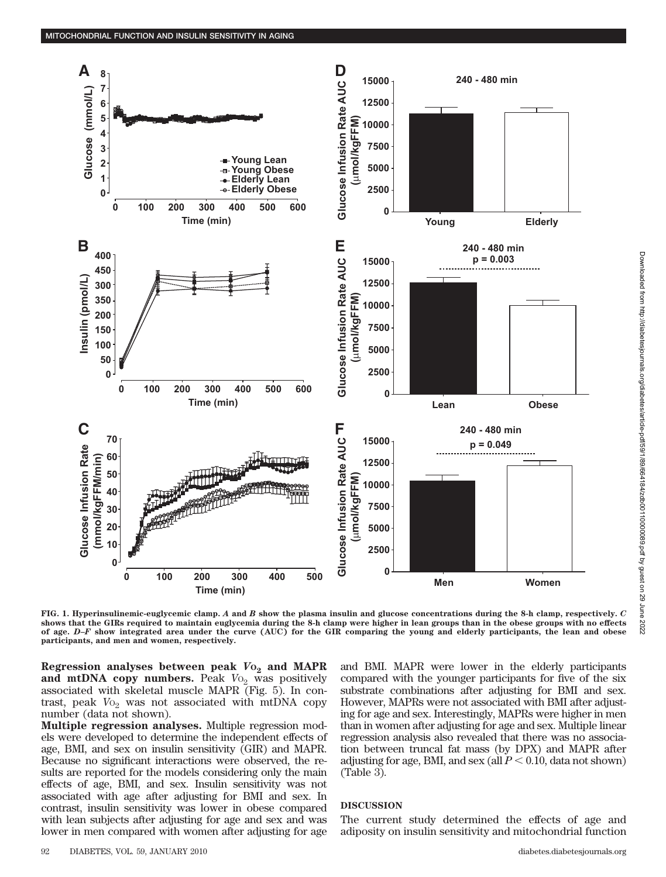

**FIG. 1. Hyperinsulinemic-euglycemic clamp.** *A* **and** *B* **show the plasma insulin and glucose concentrations during the 8-h clamp, respectively.** *C* **shows that the GIRs required to maintain euglycemia during the 8-h clamp were higher in lean groups than in the obese groups with no effects of age.** *D–F* **show integrated area under the curve (AUC) for the GIR comparing the young and elderly participants, the lean and obese participants, and men and women, respectively.**

**Regression analyses between peak** *V***O2 and MAPR and mtDNA copy numbers.** Peak  $V_0$ <sub>2</sub> was positively associated with skeletal muscle MAPR (Fig. 5). In contrast, peak  $V_{{}^{0}2}$  was not associated with mtDNA copy number (data not shown).

**Multiple regression analyses.** Multiple regression models were developed to determine the independent effects of age, BMI, and sex on insulin sensitivity (GIR) and MAPR. Because no significant interactions were observed, the results are reported for the models considering only the main effects of age, BMI, and sex. Insulin sensitivity was not associated with age after adjusting for BMI and sex. In contrast, insulin sensitivity was lower in obese compared with lean subjects after adjusting for age and sex and was lower in men compared with women after adjusting for age

and BMI. MAPR were lower in the elderly participants compared with the younger participants for five of the six substrate combinations after adjusting for BMI and sex. However, MAPRs were not associated with BMI after adjusting for age and sex. Interestingly, MAPRs were higher in men than in women after adjusting for age and sex. Multiple linear regression analysis also revealed that there was no association between truncal fat mass (by DPX) and MAPR after adjusting for age, BMI, and sex (all  $P < 0.10$ , data not shown) (Table 3).

## **DISCUSSION**

The current study determined the effects of age and adiposity on insulin sensitivity and mitochondrial function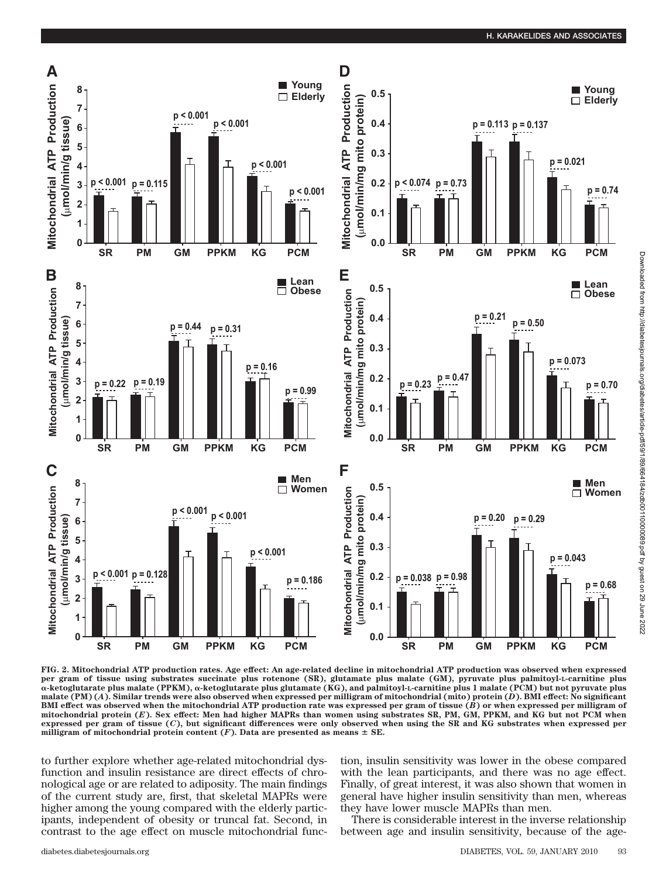



**FIG. 2. Mitochondrial ATP production rates. Age effect: An age-related decline in mitochondrial ATP production was observed when expressed per gram of tissue using substrates succinate plus rotenone (SR), glutamate plus malate (GM), pyruvate plus palmitoyl-L-carnitine plus** α-ketoglutarate plus malate (PPKM), α-ketoglutarate plus glutamate (KG), and palmitoyl-ι-carnitine plus 1 malate (PCM) but not pyruvate plus **malate (PM) (***A***). Similar trends were also observed when expressed per milligram of mitochondrial (mito) protein (***D***). BMI effect: No significant BMI effect was observed when the mitochondrial ATP production rate was expressed per gram of tissue (***B***) or when expressed per milligram of mitochondrial protein (***E***). Sex effect: Men had higher MAPRs than women using substrates SR, PM, GM, PPKM, and KG but not PCM when expressed per gram of tissue (***C***), but significant differences were only observed when using the SR and KG substrates when expressed per** milligram of mitochondrial protein content  $(F)$ . Data are presented as means  $\pm$  SE.

to further explore whether age-related mitochondrial dysfunction and insulin resistance are direct effects of chronological age or are related to adiposity. The main findings of the current study are, first, that skeletal MAPRs were higher among the young compared with the elderly participants, independent of obesity or truncal fat. Second, in contrast to the age effect on muscle mitochondrial function, insulin sensitivity was lower in the obese compared with the lean participants, and there was no age effect. Finally, of great interest, it was also shown that women in general have higher insulin sensitivity than men, whereas they have lower muscle MAPRs than men.

There is considerable interest in the inverse relationship between age and insulin sensitivity, because of the age-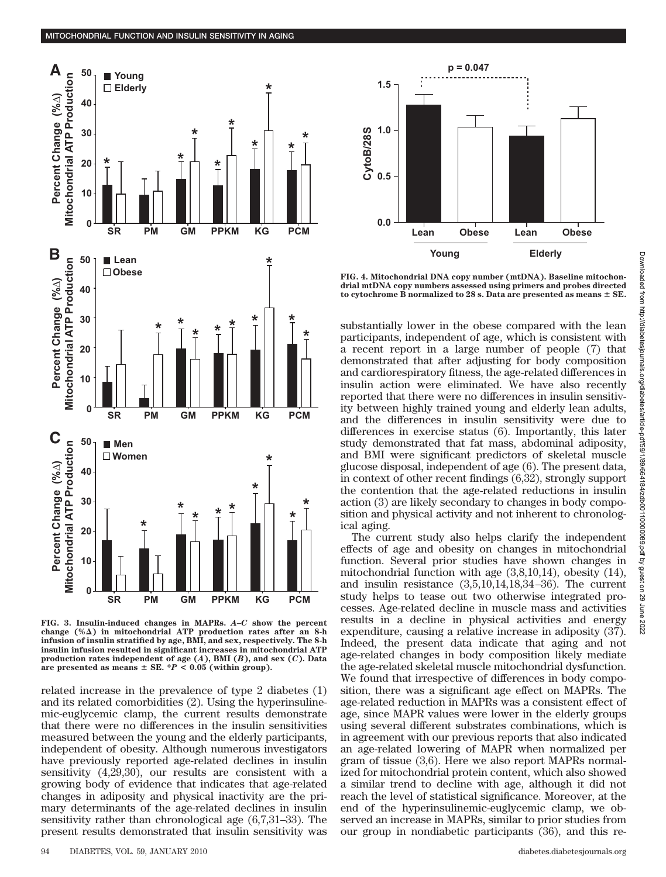

**FIG. 3. Insulin-induced changes in MAPRs.** *A–C* **show the percent change (%) in mitochondrial ATP production rates after an 8-h infusion of insulin stratified by age, BMI, and sex, respectively. The 8-h insulin infusion resulted in significant increases in mitochondrial ATP production rates independent of age (***A***), BMI (***B***), and sex (***C***). Data** are presented as means  $\pm$  SE.  $^*P$  < 0.05 (within group).

related increase in the prevalence of type 2 diabetes (1) and its related comorbidities (2). Using the hyperinsulinemic-euglycemic clamp, the current results demonstrate that there were no differences in the insulin sensitivities measured between the young and the elderly participants, independent of obesity. Although numerous investigators have previously reported age-related declines in insulin sensitivity (4,29,30), our results are consistent with a growing body of evidence that indicates that age-related changes in adiposity and physical inactivity are the primary determinants of the age-related declines in insulin sensitivity rather than chronological age (6,7,31–33). The present results demonstrated that insulin sensitivity was



**FIG. 4. Mitochondrial DNA copy number (mtDNA). Baseline mitochondrial mtDNA copy numbers assessed using primers and probes directed** to cytochrome **B** normalized to  $28$  s. Data are presented as means  $\pm$  SE.

substantially lower in the obese compared with the lean participants, independent of age, which is consistent with a recent report in a large number of people (7) that demonstrated that after adjusting for body composition and cardiorespiratory fitness, the age-related differences in insulin action were eliminated. We have also recently reported that there were no differences in insulin sensitivity between highly trained young and elderly lean adults, and the differences in insulin sensitivity were due to differences in exercise status (6). Importantly, this later study demonstrated that fat mass, abdominal adiposity, and BMI were significant predictors of skeletal muscle glucose disposal, independent of age (6). The present data, in context of other recent findings (6,32), strongly support the contention that the age-related reductions in insulin action (3) are likely secondary to changes in body composition and physical activity and not inherent to chronological aging.

The current study also helps clarify the independent effects of age and obesity on changes in mitochondrial function. Several prior studies have shown changes in mitochondrial function with age (3,8,10,14), obesity (14), and insulin resistance (3,5,10,14,18,34 –36). The current study helps to tease out two otherwise integrated processes. Age-related decline in muscle mass and activities results in a decline in physical activities and energy expenditure, causing a relative increase in adiposity (37). Indeed, the present data indicate that aging and not age-related changes in body composition likely mediate the age-related skeletal muscle mitochondrial dysfunction. We found that irrespective of differences in body composition, there was a significant age effect on MAPRs. The age-related reduction in MAPRs was a consistent effect of age, since MAPR values were lower in the elderly groups using several different substrates combinations, which is in agreement with our previous reports that also indicated an age-related lowering of MAPR when normalized per gram of tissue (3,6). Here we also report MAPRs normalized for mitochondrial protein content, which also showed a similar trend to decline with age, although it did not reach the level of statistical significance. Moreover, at the end of the hyperinsulinemic-euglycemic clamp, we observed an increase in MAPRs, similar to prior studies from our group in nondiabetic participants (36), and this re-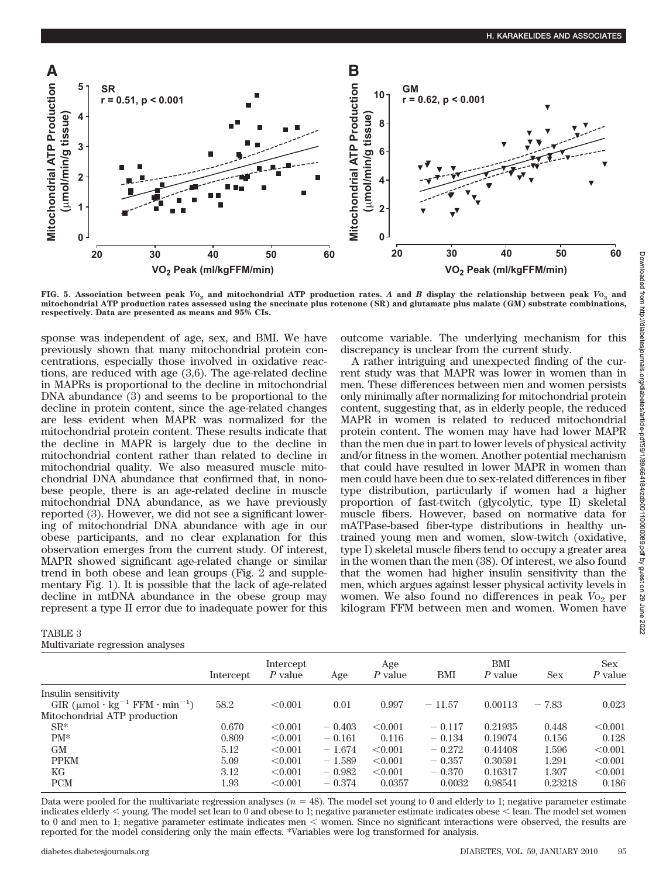

**FIG.** 5. Association between peak  $V_0$ <sub>2</sub> and mitochondrial ATP production rates. A and B display the relationship between peak  $V_0$ <sub>2</sub> and **mitochondrial ATP production rates assessed using the succinate plus rotenone (SR) and glutamate plus malate (GM) substrate combinations, respectively. Data are presented as means and 95% CIs.**

sponse was independent of age, sex, and BMI. We have previously shown that many mitochondrial protein concentrations, especially those involved in oxidative reactions, are reduced with age (3,6). The age-related decline in MAPRs is proportional to the decline in mitochondrial DNA abundance (3) and seems to be proportional to the decline in protein content, since the age-related changes are less evident when MAPR was normalized for the mitochondrial protein content. These results indicate that the decline in MAPR is largely due to the decline in mitochondrial content rather than related to decline in mitochondrial quality. We also measured muscle mitochondrial DNA abundance that confirmed that, in nonobese people, there is an age-related decline in muscle mitochondrial DNA abundance, as we have previously reported (3). However, we did not see a significant lowering of mitochondrial DNA abundance with age in our obese participants, and no clear explanation for this observation emerges from the current study. Of interest, MAPR showed significant age-related change or similar trend in both obese and lean groups (Fig. 2 and supplementary Fig. 1). It is possible that the lack of age-related decline in mtDNA abundance in the obese group may represent a type II error due to inadequate power for this

## TABLE 3

Multivariate regression analyses

outcome variable. The underlying mechanism for this discrepancy is unclear from the current study.

A rather intriguing and unexpected finding of the current study was that MAPR was lower in women than in men. These differences between men and women persists only minimally after normalizing for mitochondrial protein content, suggesting that, as in elderly people, the reduced MAPR in women is related to reduced mitochondrial protein content. The women may have had lower MAPR protein content. The women may have had lower than the men due in part to lower levels of physical activity and/or fitness in the women. Another potential mechanism that could have resulted in lower MAPR in women than men could have been due to sex-related differences in fiber type distribution, particularly if women had a higher proportion of fast-twitch (glycolytic, type  $II$ ) s muscle fibers. However, based on normative data for mATPase-based fiber-type distributions in healthy untrained young men and women, slow-twitch (oxidative, type I) skeletal muscle fibers tend to occupy a greater area in the women than the men (38). Of interest, we also found that the women had higher insulin sensitivity than the men, which argues against lesser physical activity levels in women. We also found no differences in peak  $V_{{}^{0}2}$  per kilogram FFM between men and women. Women have

| $V_{{}^{0}2}$ and $V_{{}^{0}1}$ and $V_{{}^{0}2}$ |  |
|---------------------------------------------------|--|
| or th                                             |  |
| he cu<br>than i                                   |  |
| persis                                            |  |
| protei<br>educe <sup>.</sup>                      |  |
| iondria<br>: MAP                                  |  |
| activit<br>hanisi                                 |  |
| en tha                                            |  |
| in fibe<br>highe                                  |  |
| skelet<br>ata fo                                  |  |
| hv m                                              |  |

|                                                                              | Intercept | Intercept<br>P value | Age      | Age<br>P value | <b>BMI</b> | <b>BMI</b><br>P value | <b>Sex</b> | <b>Sex</b><br>P value |
|------------------------------------------------------------------------------|-----------|----------------------|----------|----------------|------------|-----------------------|------------|-----------------------|
| Insulin sensitivity                                                          |           |                      |          |                |            |                       |            |                       |
| GIR $(\mu \text{mol} \cdot \text{kg}^{-1} \text{FFM} \cdot \text{min}^{-1})$ | 58.2      | < 0.001              | 0.01     | 0.997          | $-11.57$   | 0.00113               | $-7.83$    | 0.023                 |
| Mitochondrial ATP production                                                 |           |                      |          |                |            |                       |            |                       |
| $SR*$                                                                        | 0.670     | < 0.001              | $-0.403$ | < 0.001        | $-0.117$   | 0.21935               | 0.448      | < 0.001               |
| $PM*$                                                                        | 0.809     | < 0.001              | $-0.161$ | 0.116          | $-0.134$   | 0.19074               | 0.156      | 0.128                 |
| GM                                                                           | 5.12      | < 0.001              | $-1.674$ | < 0.001        | $-0.272$   | 0.44408               | 1.596      | < 0.001               |
| <b>PPKM</b>                                                                  | 5.09      | < 0.001              | $-1.589$ | < 0.001        | $-0.357$   | 0.30591               | 1.291      | < 0.001               |
| KG                                                                           | 3.12      | < 0.001              | $-0.982$ | < 0.001        | $-0.370$   | 0.16317               | 1.307      | < 0.001               |
| <b>PCM</b>                                                                   | $1.93\,$  | < 0.001              | $-0.374$ | 0.0357         | 0.0032     | 0.98541               | 0.23218    | 0.186                 |
|                                                                              |           |                      |          |                |            |                       |            |                       |

Data were pooled for the multivariate regression analyses  $(n = 48)$ . The model set young to 0 and elderly to 1; negative parameter estimate indicates elderly  $<$  young. The model set lean to 0 and obese to 1; negative parameter estimate indicates obese  $<$  lean. The model set women to 0 and men to 1; negative parameter estimate indicates men < women. Since no significant interactions were observed, the results are reported for the model considering only the main effects. \*Variables were log transformed for analysis.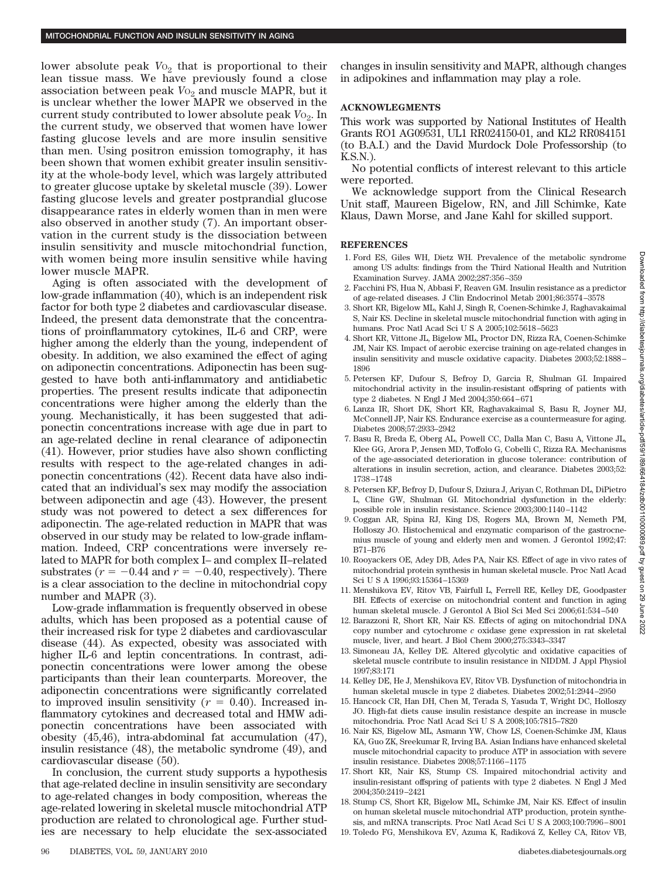lower absolute peak  $V_{{}^{0}2}$  that is proportional to their lean tissue mass. We have previously found a close association between peak  $V_{\text{O}_2}$  and muscle MAPR, but it is unclear whether the lower MAPR we observed in the current study contributed to lower absolute peak  $V_{\text{O}_2}$ . In the current study, we observed that women have lower fasting glucose levels and are more insulin sensitive than men. Using positron emission tomography, it has been shown that women exhibit greater insulin sensitivity at the whole-body level, which was largely attributed to greater glucose uptake by skeletal muscle (39). Lower fasting glucose levels and greater postprandial glucose disappearance rates in elderly women than in men were also observed in another study (7). An important observation in the current study is the dissociation between insulin sensitivity and muscle mitochondrial function, with women being more insulin sensitive while having lower muscle MAPR.

Aging is often associated with the development of low-grade inflammation (40), which is an independent risk factor for both type 2 diabetes and cardiovascular disease. Indeed, the present data demonstrate that the concentrations of proinflammatory cytokines, IL-6 and CRP, were higher among the elderly than the young, independent of obesity. In addition, we also examined the effect of aging on adiponectin concentrations. Adiponectin has been suggested to have both anti-inflammatory and antidiabetic properties. The present results indicate that adiponectin concentrations were higher among the elderly than the young. Mechanistically, it has been suggested that adiponectin concentrations increase with age due in part to an age-related decline in renal clearance of adiponectin (41). However, prior studies have also shown conflicting results with respect to the age-related changes in adiponectin concentrations (42). Recent data have also indicated that an individual's sex may modify the association between adiponectin and age (43). However, the present study was not powered to detect a sex differences for adiponectin. The age-related reduction in MAPR that was observed in our study may be related to low-grade inflammation. Indeed, CRP concentrations were inversely related to MAPR for both complex I– and complex II–related substrates ( $r = -0.44$  and  $r = -0.40$ , respectively). There is a clear association to the decline in mitochondrial copy number and MAPR (3).

Low-grade inflammation is frequently observed in obese adults, which has been proposed as a potential cause of their increased risk for type 2 diabetes and cardiovascular disease (44). As expected, obesity was associated with higher IL-6 and leptin concentrations. In contrast, adiponectin concentrations were lower among the obese participants than their lean counterparts. Moreover, the adiponectin concentrations were significantly correlated to improved insulin sensitivity  $(r = 0.40)$ . Increased inflammatory cytokines and decreased total and HMW adiponectin concentrations have been associated with obesity (45,46), intra-abdominal fat accumulation (47), insulin resistance (48), the metabolic syndrome (49), and cardiovascular disease (50).

In conclusion, the current study supports a hypothesis that age-related decline in insulin sensitivity are secondary to age-related changes in body composition, whereas the age-related lowering in skeletal muscle mitochondrial ATP production are related to chronological age. Further studies are necessary to help elucidate the sex-associated

changes in insulin sensitivity and MAPR, although changes in adipokines and inflammation may play a role.

## **ACKNOWLEGMENTS**

This work was supported by National Institutes of Health Grants RO1 AG09531, UL1 RR024150-01, and KL2 RR084151 (to B.A.I.) and the David Murdock Dole Professorship (to K.S.N.).

No potential conflicts of interest relevant to this article were reported.

We acknowledge support from the Clinical Research Unit staff, Maureen Bigelow, RN, and Jill Schimke, Kate Klaus, Dawn Morse, and Jane Kahl for skilled support.

## **REFERENCES**

- 1. Ford ES, Giles WH, Dietz WH. Prevalence of the metabolic syndrome among US adults: findings from the Third National Health and Nutrition Examination Survey. JAMA 2002;287:356 –359
- 2. Facchini FS, Hua N, Abbasi F, Reaven GM. Insulin resistance as a predictor of age-related diseases. J Clin Endocrinol Metab 2001;86:3574 –3578
- 3. Short KR, Bigelow ML, Kahl J, Singh R, Coenen-Schimke J, Raghavakaimal S, Nair KS. Decline in skeletal muscle mitochondrial function with aging in humans. Proc Natl Acad Sci U S A 2005;102:5618-5623
- 4. Short KR, Vittone JL, Bigelow ML, Proctor DN, Rizza RA, Coenen-Schimke JM, Nair KS. Impact of aerobic exercise training on age-related changes in insulin sensitivity and muscle oxidative capacity. Diabetes 2003;52:1888 – 1896
- 5. Petersen KF, Dufour S, Befroy D, Garcia R, Shulman GI. Impaired mitochondrial activity in the insulin-resistant offspring of patients with type 2 diabetes. N Engl J Med 2004;350:664 – 671
- 6. Lanza IR, Short DK, Short KR, Raghavakaimal S, Basu R, Joyner MJ, McConnell JP, Nair KS. Endurance exercise as a countermeasure for aging. Diabetes 2008;57:2933–2942
- 7. Basu R, Breda E, Oberg AL, Powell CC, Dalla Man C, Basu A, Vittone JL, Klee GG, Arora P, Jensen MD, Toffolo G, Cobelli C, Rizza RA. Mechanisms of the age-associated deterioration in glucose tolerance: contribution of alterations in insulin secretion, action, and clearance. Diabetes 2003;52: 1738 –1748
- 8. Petersen KF, Befroy D, Dufour S, Dziura J, Ariyan C, Rothman DL, DiPietro L, Cline GW, Shulman GI. Mitochondrial dysfunction in the elderly: possible role in insulin resistance. Science 2003;300:1140 –1142
- 9. Coggan AR, Spina RJ, King DS, Rogers MA, Brown M, Nemeth PM, Holloszy JO. Histochemical and enzymatic comparison of the gastrocnemius muscle of young and elderly men and women. J Gerontol 1992;47: B71–B76
- 10. Rooyackers OE, Adey DB, Ades PA, Nair KS. Effect of age in vivo rates of mitochondrial protein synthesis in human skeletal muscle. Proc Natl Acad Sci U S A 1996;93:15364 –15369
- 11. Menshikova EV, Ritov VB, Fairfull L, Ferrell RE, Kelley DE, Goodpaster BH. Effects of exercise on mitochondrial content and function in aging human skeletal muscle. J Gerontol A Biol Sci Med Sci 2006;61:534 –540
- 12. Barazzoni R, Short KR, Nair KS. Effects of aging on mitochondrial DNA copy number and cytochrome *c* oxidase gene expression in rat skeletal muscle, liver, and heart. J Biol Chem 2000;275:3343–3347
- 13. Simoneau JA, Kelley DE. Altered glycolytic and oxidative capacities of skeletal muscle contribute to insulin resistance in NIDDM. J Appl Physiol 1997;83:171
- 14. Kelley DE, He J, Menshikova EV, Ritov VB. Dysfunction of mitochondria in human skeletal muscle in type 2 diabetes. Diabetes 2002;51:2944 –2950
- 15. Hancock CR, Han DH, Chen M, Terada S, Yasuda T, Wright DC, Holloszy JO. High-fat diets cause insulin resistance despite an increase in muscle mitochondria. Proc Natl Acad SciUSA 2008;105:7815–7820
- 16. Nair KS, Bigelow ML, Asmann YW, Chow LS, Coenen-Schimke JM, Klaus KA, Guo ZK, Sreekumar R, Irving BA. Asian Indians have enhanced skeletal muscle mitochondrial capacity to produce ATP in association with severe insulin resistance. Diabetes 2008;57:1166 –1175
- 17. Short KR, Nair KS, Stump CS. Impaired mitochondrial activity and insulin-resistant offspring of patients with type 2 diabetes. N Engl J Med 2004;350:2419 –2421
- 18. Stump CS, Short KR, Bigelow ML, Schimke JM, Nair KS. Effect of insulin on human skeletal muscle mitochondrial ATP production, protein synthesis, and mRNA transcripts. Proc Natl Acad Sci U S A 2003;100:7996-8001
- 19. Toledo FG, Menshikova EV, Azuma K, Radikova´ Z, Kelley CA, Ritov VB,